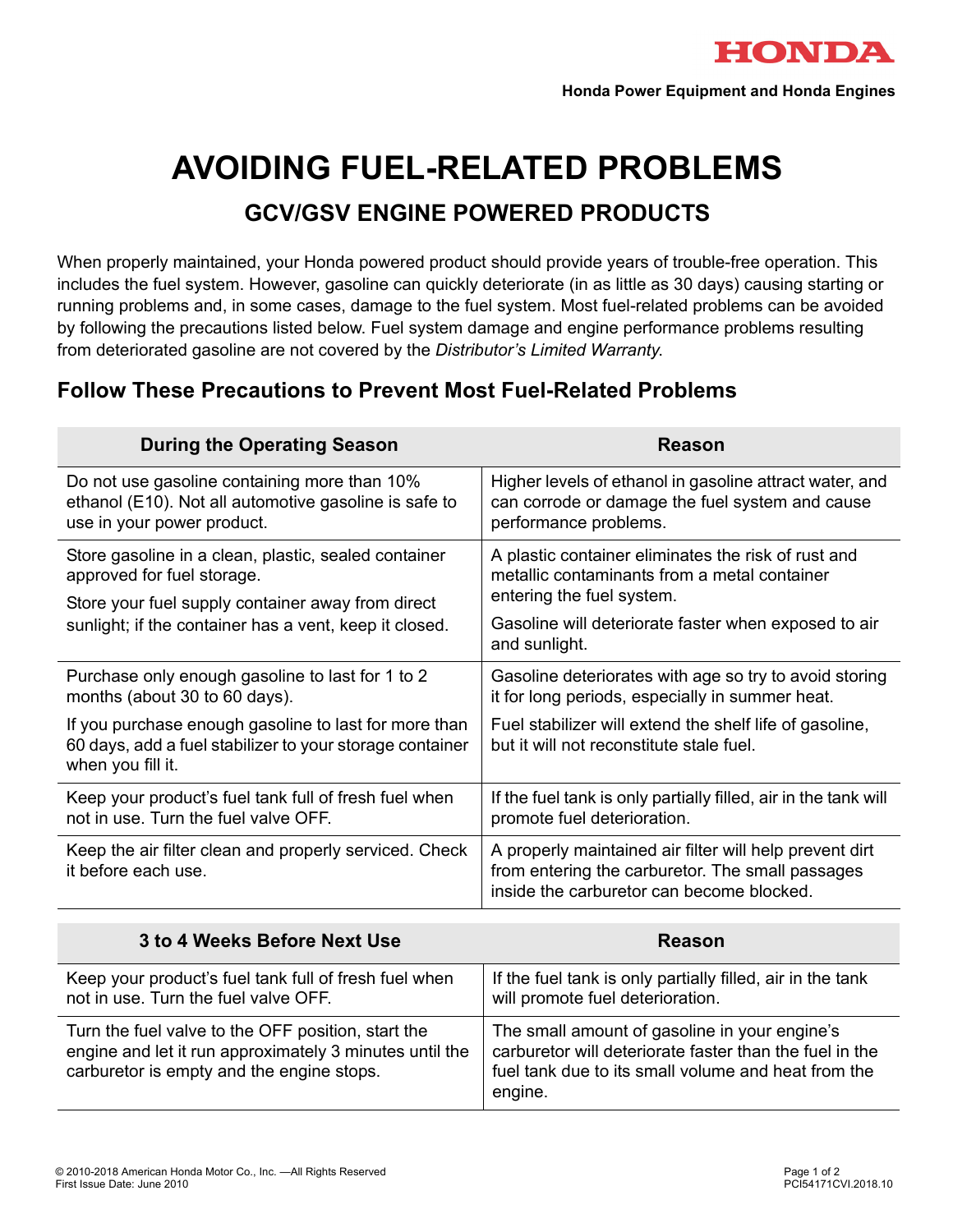

# **AVOIDING FUEL-RELATED PROBLEMS**

## **GCV/GSV ENGINE POWERED PRODUCTS**

When properly maintained, your Honda powered product should provide years of trouble-free operation. This includes the fuel system. However, gasoline can quickly deteriorate (in as little as 30 days) causing starting or running problems and, in some cases, damage to the fuel system. Most fuel-related problems can be avoided by following the precautions listed below. Fuel system damage and engine performance problems resulting from deteriorated gasoline are not covered by the *Distributor's Limited Warranty*.

## **Follow These Precautions to Prevent Most Fuel-Related Problems**

| <b>During the Operating Season</b>                                                                                                                                                                | <b>Reason</b>                                                                                                                                            |
|---------------------------------------------------------------------------------------------------------------------------------------------------------------------------------------------------|----------------------------------------------------------------------------------------------------------------------------------------------------------|
| Do not use gasoline containing more than 10%<br>ethanol (E10). Not all automotive gasoline is safe to<br>use in your power product.                                                               | Higher levels of ethanol in gasoline attract water, and<br>can corrode or damage the fuel system and cause<br>performance problems.                      |
| Store gasoline in a clean, plastic, sealed container<br>approved for fuel storage.<br>Store your fuel supply container away from direct<br>sunlight; if the container has a vent, keep it closed. | A plastic container eliminates the risk of rust and<br>metallic contaminants from a metal container                                                      |
|                                                                                                                                                                                                   | entering the fuel system.<br>Gasoline will deteriorate faster when exposed to air<br>and sunlight.                                                       |
| Purchase only enough gasoline to last for 1 to 2<br>months (about 30 to 60 days).                                                                                                                 | Gasoline deteriorates with age so try to avoid storing<br>it for long periods, especially in summer heat.                                                |
| If you purchase enough gasoline to last for more than<br>60 days, add a fuel stabilizer to your storage container<br>when you fill it.                                                            | Fuel stabilizer will extend the shelf life of gasoline,<br>but it will not reconstitute stale fuel.                                                      |
| Keep your product's fuel tank full of fresh fuel when<br>not in use. Turn the fuel valve OFF.                                                                                                     | If the fuel tank is only partially filled, air in the tank will<br>promote fuel deterioration.                                                           |
| Keep the air filter clean and properly serviced. Check<br>it before each use.                                                                                                                     | A properly maintained air filter will help prevent dirt<br>from entering the carburetor. The small passages<br>inside the carburetor can become blocked. |

| 3 to 4 Weeks Before Next Use                                                                                                                               | <b>Reason</b>                                                                                                                                                              |
|------------------------------------------------------------------------------------------------------------------------------------------------------------|----------------------------------------------------------------------------------------------------------------------------------------------------------------------------|
| Keep your product's fuel tank full of fresh fuel when<br>not in use. Turn the fuel valve OFF.                                                              | If the fuel tank is only partially filled, air in the tank<br>will promote fuel deterioration.                                                                             |
| Turn the fuel valve to the OFF position, start the<br>engine and let it run approximately 3 minutes until the<br>carburetor is empty and the engine stops. | The small amount of gasoline in your engine's<br>carburetor will deteriorate faster than the fuel in the<br>fuel tank due to its small volume and heat from the<br>engine. |